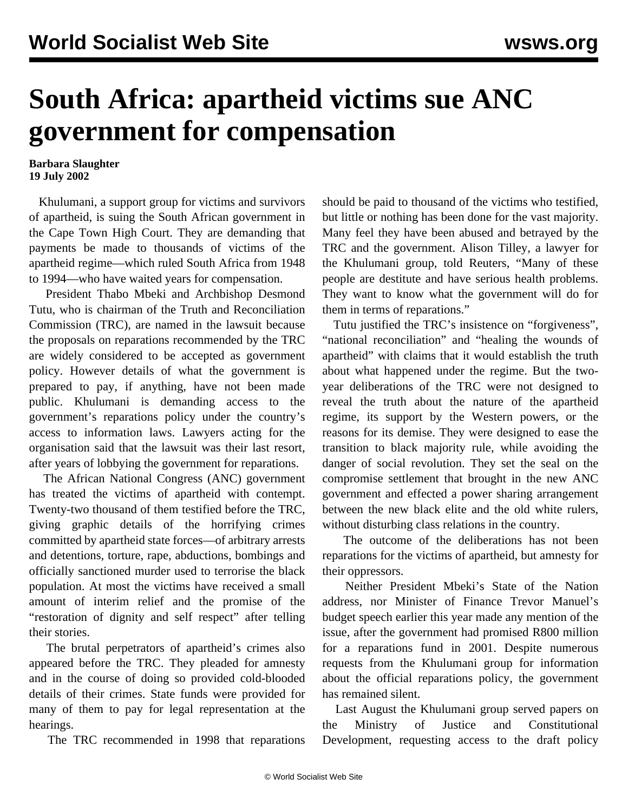## **South Africa: apartheid victims sue ANC government for compensation**

## **Barbara Slaughter 19 July 2002**

 Khulumani, a support group for victims and survivors of apartheid, is suing the South African government in the Cape Town High Court. They are demanding that payments be made to thousands of victims of the apartheid regime—which ruled South Africa from 1948 to 1994—who have waited years for compensation.

 President Thabo Mbeki and Archbishop Desmond Tutu, who is chairman of the Truth and Reconciliation Commission (TRC), are named in the lawsuit because the proposals on reparations recommended by the TRC are widely considered to be accepted as government policy. However details of what the government is prepared to pay, if anything, have not been made public. Khulumani is demanding access to the government's reparations policy under the country's access to information laws. Lawyers acting for the organisation said that the lawsuit was their last resort, after years of lobbying the government for reparations.

 The African National Congress (ANC) government has treated the victims of apartheid with contempt. Twenty-two thousand of them testified before the TRC, giving graphic details of the horrifying crimes committed by apartheid state forces—of arbitrary arrests and detentions, torture, rape, abductions, bombings and officially sanctioned murder used to terrorise the black population. At most the victims have received a small amount of interim relief and the promise of the "restoration of dignity and self respect" after telling their stories.

 The brutal perpetrators of apartheid's crimes also appeared before the TRC. They pleaded for amnesty and in the course of doing so provided cold-blooded details of their crimes. State funds were provided for many of them to pay for legal representation at the hearings.

The TRC recommended in 1998 that reparations

should be paid to thousand of the victims who testified, but little or nothing has been done for the vast majority. Many feel they have been abused and betrayed by the TRC and the government. Alison Tilley, a lawyer for the Khulumani group, told Reuters, "Many of these people are destitute and have serious health problems. They want to know what the government will do for them in terms of reparations."

 Tutu justified the TRC's insistence on "forgiveness", "national reconciliation" and "healing the wounds of apartheid" with claims that it would establish the truth about what happened under the regime. But the twoyear deliberations of the TRC were not designed to reveal the truth about the nature of the apartheid regime, its support by the Western powers, or the reasons for its demise. They were designed to ease the transition to black majority rule, while avoiding the danger of social revolution. They set the seal on the compromise settlement that brought in the new ANC government and effected a power sharing arrangement between the new black elite and the old white rulers, without disturbing class relations in the country.

 The outcome of the deliberations has not been reparations for the victims of apartheid, but amnesty for their oppressors.

 Neither President Mbeki's State of the Nation address, nor Minister of Finance Trevor Manuel's budget speech earlier this year made any mention of the issue, after the government had promised R800 million for a reparations fund in 2001. Despite numerous requests from the Khulumani group for information about the official reparations policy, the government has remained silent.

 Last August the Khulumani group served papers on the Ministry of Justice and Constitutional Development, requesting access to the draft policy